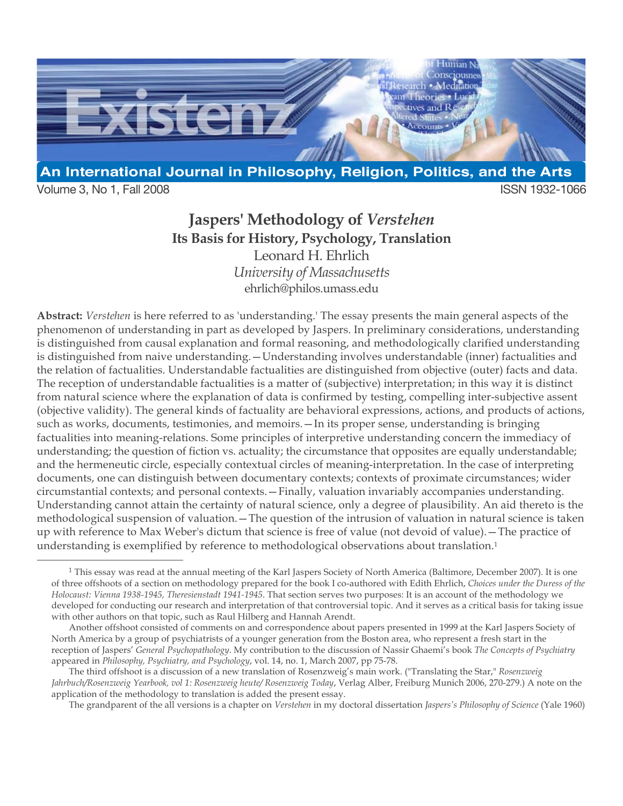

Volume 3, No 1, Fall 2008 ISSN 1932-1066

## **Jaspers' Methodology of** *Verstehen* **Its Basis for History, Psychology, Translation**

Leonard H. Ehrlich *University of Massachusetts* ehrlich@philos.umass.edu

**Abstract:** *Verstehen* is here referred to as 'understanding.' The essay presents the main general aspects of the phenomenon of understanding in part as developed by Jaspers. In preliminary considerations, understanding is distinguished from causal explanation and formal reasoning, and methodologically clarified understanding is distinguished from naive understanding.—Understanding involves understandable (inner) factualities and the relation of factualities. Understandable factualities are distinguished from objective (outer) facts and data. The reception of understandable factualities is a matter of (subjective) interpretation; in this way it is distinct from natural science where the explanation of data is confirmed by testing, compelling inter-subjective assent (objective validity). The general kinds of factuality are behavioral expressions, actions, and products of actions, such as works, documents, testimonies, and memoirs.—In its proper sense, understanding is bringing factualities into meaning-relations. Some principles of interpretive understanding concern the immediacy of understanding; the question of fiction vs. actuality; the circumstance that opposites are equally understandable; and the hermeneutic circle, especially contextual circles of meaning-interpretation. In the case of interpreting documents, one can distinguish between documentary contexts; contexts of proximate circumstances; wider circumstantial contexts; and personal contexts.—Finally, valuation invariably accompanies understanding. Understanding cannot attain the certainty of natural science, only a degree of plausibility. An aid thereto is the methodological suspension of valuation.—The question of the intrusion of valuation in natural science is taken up with reference to Max Weber's dictum that science is free of value (not devoid of value).—The practice of understanding is exemplified by reference to methodological observations about translation.1

The grandparent of the all versions is a chapter on *Verstehen* in my doctoral dissertation *Jaspers's Philosophy of Science* (Yale 1960)

<sup>&</sup>lt;sup>1</sup> This essay was read at the annual meeting of the Karl Jaspers Society of North America (Baltimore, December 2007). It is one of three offshoots of a section on methodology prepared for the book I co-authored with Edith Ehrlich, *Choices under the Duress of the Holocaust: Vienna 1938-1945, Theresienstadt 1941-1945*. That section serves two purposes: It is an account of the methodology we developed for conducting our research and interpretation of that controversial topic. And it serves as a critical basis for taking issue with other authors on that topic, such as Raul Hilberg and Hannah Arendt.

Another offshoot consisted of comments on and correspondence about papers presented in 1999 at the Karl Jaspers Society of North America by a group of psychiatrists of a younger generation from the Boston area, who represent a fresh start in the reception of Jaspers' *General Psychopathology*. My contribution to the discussion of Nassir Ghaemi's book *The Concepts of Psychiatry* appeared in *Philosophy, Psychiatry, and Psychology*, vol. 14, no. 1, March 2007, pp 75-78.

The third offshoot is a discussion of a new translation of Rosenzweig's main work. ("Translating the Star," *Rosenzweig Jahrbuch/Rosenzweig Yearbook, vol 1: Rosenzweig heute/ Rosenzweig Today*, Verlag Alber, Freiburg Munich 2006, 270-279.) A note on the application of the methodology to translation is added the present essay.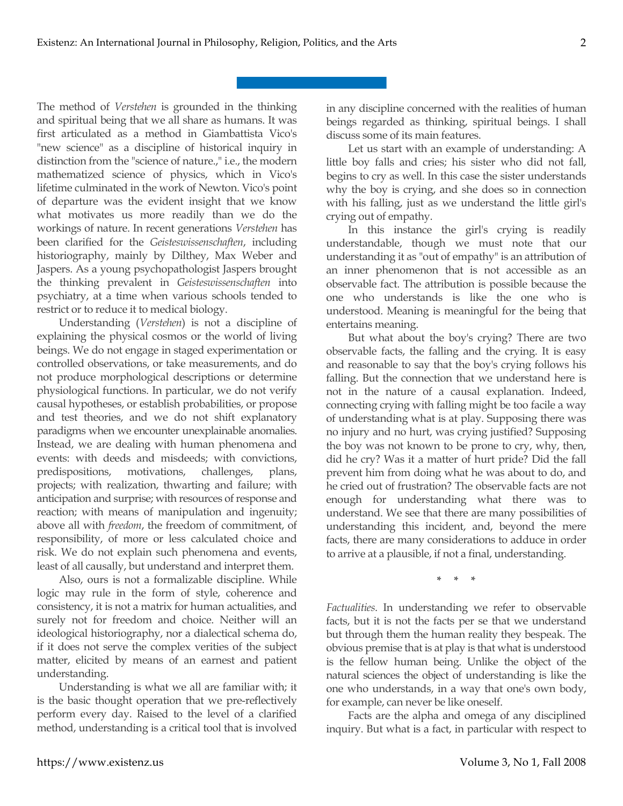The method of *Verstehen* is grounded in the thinking and spiritual being that we all share as humans. It was first articulated as a method in Giambattista Vico's "new science" as a discipline of historical inquiry in distinction from the "science of nature.," i.e., the modern mathematized science of physics, which in Vico's lifetime culminated in the work of Newton. Vico's point of departure was the evident insight that we know what motivates us more readily than we do the workings of nature. In recent generations *Verstehen* has been clarified for the *Geisteswissenschaften*, including historiography, mainly by Dilthey, Max Weber and Jaspers. As a young psychopathologist Jaspers brought the thinking prevalent in *Geisteswissenschaften* into psychiatry, at a time when various schools tended to restrict or to reduce it to medical biology.

Understanding (*Verstehen*) is not a discipline of explaining the physical cosmos or the world of living beings. We do not engage in staged experimentation or controlled observations, or take measurements, and do not produce morphological descriptions or determine physiological functions. In particular, we do not verify causal hypotheses, or establish probabilities, or propose and test theories, and we do not shift explanatory paradigms when we encounter unexplainable anomalies. Instead, we are dealing with human phenomena and events: with deeds and misdeeds; with convictions, predispositions, motivations, challenges, plans, projects; with realization, thwarting and failure; with anticipation and surprise; with resources of response and reaction; with means of manipulation and ingenuity; above all with *freedom*, the freedom of commitment, of responsibility, of more or less calculated choice and risk. We do not explain such phenomena and events, least of all causally, but understand and interpret them.

Also, ours is not a formalizable discipline. While logic may rule in the form of style, coherence and consistency, it is not a matrix for human actualities, and surely not for freedom and choice. Neither will an ideological historiography, nor a dialectical schema do, if it does not serve the complex verities of the subject matter, elicited by means of an earnest and patient understanding.

Understanding is what we all are familiar with; it is the basic thought operation that we pre-reflectively perform every day. Raised to the level of a clarified method, understanding is a critical tool that is involved

in any discipline concerned with the realities of human beings regarded as thinking, spiritual beings. I shall discuss some of its main features.

Let us start with an example of understanding: A little boy falls and cries; his sister who did not fall, begins to cry as well. In this case the sister understands why the boy is crying, and she does so in connection with his falling, just as we understand the little girl's crying out of empathy.

In this instance the girl's crying is readily understandable, though we must note that our understanding it as "out of empathy" is an attribution of an inner phenomenon that is not accessible as an observable fact. The attribution is possible because the one who understands is like the one who is understood. Meaning is meaningful for the being that entertains meaning.

But what about the boy's crying? There are two observable facts, the falling and the crying. It is easy and reasonable to say that the boy's crying follows his falling. But the connection that we understand here is not in the nature of a causal explanation. Indeed, connecting crying with falling might be too facile a way of understanding what is at play. Supposing there was no injury and no hurt, was crying justified? Supposing the boy was not known to be prone to cry, why, then, did he cry? Was it a matter of hurt pride? Did the fall prevent him from doing what he was about to do, and he cried out of frustration? The observable facts are not enough for understanding what there was to understand. We see that there are many possibilities of understanding this incident, and, beyond the mere facts, there are many considerations to adduce in order to arrive at a plausible, if not a final, understanding.

**\* \* \***

*Factualities*. In understanding we refer to observable facts, but it is not the facts per se that we understand but through them the human reality they bespeak. The obvious premise that is at play is that what is understood is the fellow human being. Unlike the object of the natural sciences the object of understanding is like the one who understands, in a way that one's own body, for example, can never be like oneself.

Facts are the alpha and omega of any disciplined inquiry. But what is a fact, in particular with respect to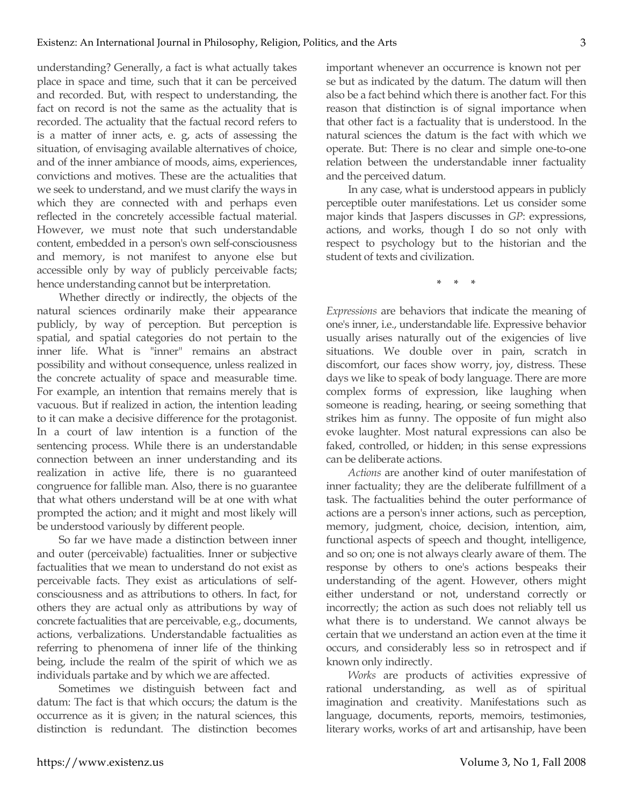understanding? Generally, a fact is what actually takes place in space and time, such that it can be perceived and recorded. But, with respect to understanding, the fact on record is not the same as the actuality that is recorded. The actuality that the factual record refers to is a matter of inner acts, e. g, acts of assessing the situation, of envisaging available alternatives of choice, and of the inner ambiance of moods, aims, experiences, convictions and motives. These are the actualities that we seek to understand, and we must clarify the ways in which they are connected with and perhaps even reflected in the concretely accessible factual material. However, we must note that such understandable content, embedded in a person's own self-consciousness and memory, is not manifest to anyone else but accessible only by way of publicly perceivable facts; hence understanding cannot but be interpretation.

Whether directly or indirectly, the objects of the natural sciences ordinarily make their appearance publicly, by way of perception. But perception is spatial, and spatial categories do not pertain to the inner life. What is "inner" remains an abstract possibility and without consequence, unless realized in the concrete actuality of space and measurable time. For example, an intention that remains merely that is vacuous. But if realized in action, the intention leading to it can make a decisive difference for the protagonist. In a court of law intention is a function of the sentencing process. While there is an understandable connection between an inner understanding and its realization in active life, there is no guaranteed congruence for fallible man. Also, there is no guarantee that what others understand will be at one with what prompted the action; and it might and most likely will be understood variously by different people.

So far we have made a distinction between inner and outer (perceivable) factualities. Inner or subjective factualities that we mean to understand do not exist as perceivable facts. They exist as articulations of selfconsciousness and as attributions to others. In fact, for others they are actual only as attributions by way of concrete factualities that are perceivable, e.g., documents, actions, verbalizations. Understandable factualities as referring to phenomena of inner life of the thinking being, include the realm of the spirit of which we as individuals partake and by which we are affected.

Sometimes we distinguish between fact and datum: The fact is that which occurs; the datum is the occurrence as it is given; in the natural sciences, this distinction is redundant. The distinction becomes

important whenever an occurrence is known not per se but as indicated by the datum. The datum will then also be a fact behind which there is another fact. For this reason that distinction is of signal importance when that other fact is a factuality that is understood. In the natural sciences the datum is the fact with which we operate. But: There is no clear and simple one-to-one relation between the understandable inner factuality and the perceived datum.

In any case, what is understood appears in publicly perceptible outer manifestations. Let us consider some major kinds that Jaspers discusses in *GP*: expressions, actions, and works, though I do so not only with respect to psychology but to the historian and the student of texts and civilization.

**\* \* \***

*Expressions* are behaviors that indicate the meaning of one's inner, i.e., understandable life. Expressive behavior usually arises naturally out of the exigencies of live situations. We double over in pain, scratch in discomfort, our faces show worry, joy, distress. These days we like to speak of body language. There are more complex forms of expression, like laughing when someone is reading, hearing, or seeing something that strikes him as funny. The opposite of fun might also evoke laughter. Most natural expressions can also be faked, controlled, or hidden; in this sense expressions can be deliberate actions.

*Actions* are another kind of outer manifestation of inner factuality; they are the deliberate fulfillment of a task. The factualities behind the outer performance of actions are a person's inner actions, such as perception, memory, judgment, choice, decision, intention, aim, functional aspects of speech and thought, intelligence, and so on; one is not always clearly aware of them. The response by others to one's actions bespeaks their understanding of the agent. However, others might either understand or not, understand correctly or incorrectly; the action as such does not reliably tell us what there is to understand. We cannot always be certain that we understand an action even at the time it occurs, and considerably less so in retrospect and if known only indirectly.

*Works* are products of activities expressive of rational understanding, as well as of spiritual imagination and creativity. Manifestations such as language, documents, reports, memoirs, testimonies, literary works, works of art and artisanship, have been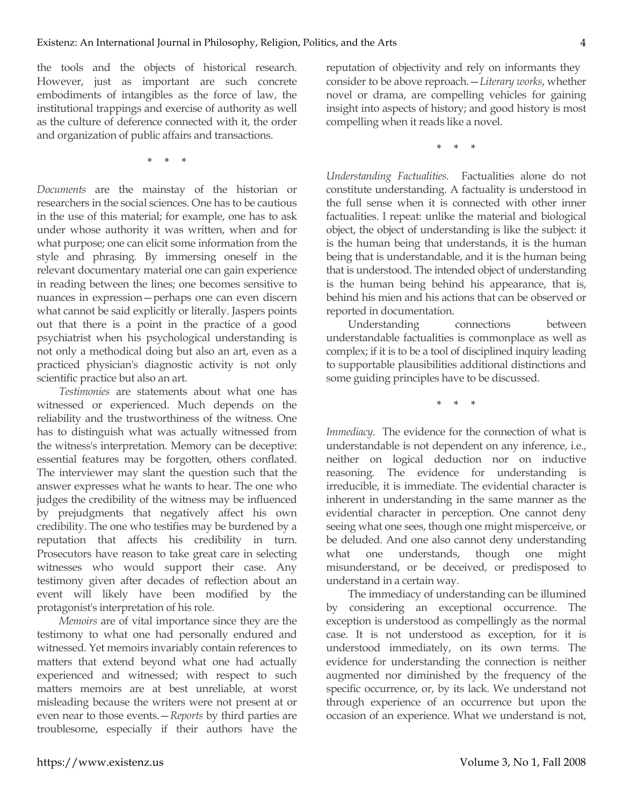the tools and the objects of historical research. However, just as important are such concrete embodiments of intangibles as the force of law, the institutional trappings and exercise of authority as well as the culture of deference connected with it, the order and organization of public affairs and transactions.

**\* \* \***

*Documents* are the mainstay of the historian or researchers in the social sciences. One has to be cautious in the use of this material; for example, one has to ask under whose authority it was written, when and for what purpose; one can elicit some information from the style and phrasing. By immersing oneself in the relevant documentary material one can gain experience in reading between the lines; one becomes sensitive to nuances in expression—perhaps one can even discern what cannot be said explicitly or literally. Jaspers points out that there is a point in the practice of a good psychiatrist when his psychological understanding is not only a methodical doing but also an art, even as a practiced physician's diagnostic activity is not only scientific practice but also an art.

*Testimonies* are statements about what one has witnessed or experienced. Much depends on the reliability and the trustworthiness of the witness. One has to distinguish what was actually witnessed from the witness's interpretation. Memory can be deceptive: essential features may be forgotten, others conflated. The interviewer may slant the question such that the answer expresses what he wants to hear. The one who judges the credibility of the witness may be influenced by prejudgments that negatively affect his own credibility. The one who testifies may be burdened by a reputation that affects his credibility in turn. Prosecutors have reason to take great care in selecting witnesses who would support their case. Any testimony given after decades of reflection about an event will likely have been modified by the protagonist's interpretation of his role.

*Memoirs* are of vital importance since they are the testimony to what one had personally endured and witnessed. Yet memoirs invariably contain references to matters that extend beyond what one had actually experienced and witnessed; with respect to such matters memoirs are at best unreliable, at worst misleading because the writers were not present at or even near to those events.—*Reports* by third parties are troublesome, especially if their authors have the reputation of objectivity and rely on informants they consider to be above reproach.—*Literary works*, whether novel or drama, are compelling vehicles for gaining insight into aspects of history; and good history is most compelling when it reads like a novel.

**\* \* \***

*Understanding Factualities*. Factualities alone do not constitute understanding. A factuality is understood in the full sense when it is connected with other inner factualities. I repeat: unlike the material and biological object, the object of understanding is like the subject: it is the human being that understands, it is the human being that is understandable, and it is the human being that is understood. The intended object of understanding is the human being behind his appearance, that is, behind his mien and his actions that can be observed or reported in documentation.

Understanding connections between understandable factualities is commonplace as well as complex; if it is to be a tool of disciplined inquiry leading to supportable plausibilities additional distinctions and some guiding principles have to be discussed.

**\* \* \***

*Immediacy*. The evidence for the connection of what is understandable is not dependent on any inference, i.e., neither on logical deduction nor on inductive reasoning. The evidence for understanding is irreducible, it is immediate. The evidential character is inherent in understanding in the same manner as the evidential character in perception. One cannot deny seeing what one sees, though one might misperceive, or be deluded. And one also cannot deny understanding what one understands, though one might misunderstand, or be deceived, or predisposed to understand in a certain way.

The immediacy of understanding can be illumined by considering an exceptional occurrence. The exception is understood as compellingly as the normal case. It is not understood as exception, for it is understood immediately, on its own terms. The evidence for understanding the connection is neither augmented nor diminished by the frequency of the specific occurrence, or, by its lack. We understand not through experience of an occurrence but upon the occasion of an experience. What we understand is not,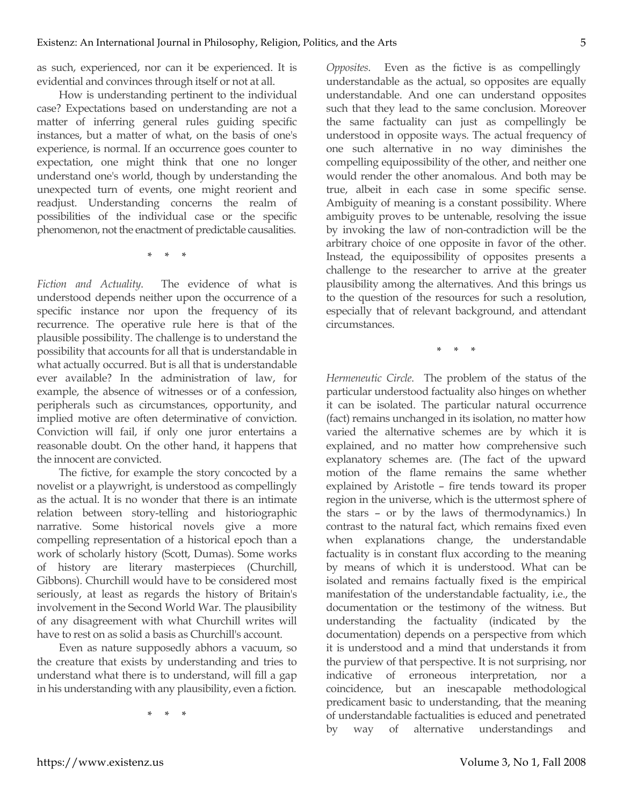as such, experienced, nor can it be experienced. It is evidential and convinces through itself or not at all.

How is understanding pertinent to the individual case? Expectations based on understanding are not a matter of inferring general rules guiding specific instances, but a matter of what, on the basis of one's experience, is normal. If an occurrence goes counter to expectation, one might think that one no longer understand one's world, though by understanding the unexpected turn of events, one might reorient and readjust. Understanding concerns the realm of possibilities of the individual case or the specific phenomenon, not the enactment of predictable causalities.

**\* \* \***

*Fiction and Actuality*. The evidence of what is understood depends neither upon the occurrence of a specific instance nor upon the frequency of its recurrence. The operative rule here is that of the plausible possibility. The challenge is to understand the possibility that accounts for all that is understandable in what actually occurred. But is all that is understandable ever available? In the administration of law, for example, the absence of witnesses or of a confession, peripherals such as circumstances, opportunity, and implied motive are often determinative of conviction. Conviction will fail, if only one juror entertains a reasonable doubt. On the other hand, it happens that the innocent are convicted.

The fictive, for example the story concocted by a novelist or a playwright, is understood as compellingly as the actual. It is no wonder that there is an intimate relation between story-telling and historiographic narrative. Some historical novels give a more compelling representation of a historical epoch than a work of scholarly history (Scott, Dumas). Some works of history are literary masterpieces (Churchill, Gibbons). Churchill would have to be considered most seriously, at least as regards the history of Britain's involvement in the Second World War. The plausibility of any disagreement with what Churchill writes will have to rest on as solid a basis as Churchill's account.

Even as nature supposedly abhors a vacuum, so the creature that exists by understanding and tries to understand what there is to understand, will fill a gap in his understanding with any plausibility, even a fiction.

**\* \* \***

*Opposites*. Even as the fictive is as compellingly understandable as the actual, so opposites are equally understandable. And one can understand opposites such that they lead to the same conclusion. Moreover the same factuality can just as compellingly be understood in opposite ways. The actual frequency of one such alternative in no way diminishes the compelling equipossibility of the other, and neither one would render the other anomalous. And both may be true, albeit in each case in some specific sense. Ambiguity of meaning is a constant possibility. Where ambiguity proves to be untenable, resolving the issue by invoking the law of non-contradiction will be the arbitrary choice of one opposite in favor of the other. Instead, the equipossibility of opposites presents a challenge to the researcher to arrive at the greater plausibility among the alternatives. And this brings us to the question of the resources for such a resolution, especially that of relevant background, and attendant circumstances.

**\* \* \***

*Hermeneutic Circle*. The problem of the status of the particular understood factuality also hinges on whether it can be isolated. The particular natural occurrence (fact) remains unchanged in its isolation, no matter how varied the alternative schemes are by which it is explained, and no matter how comprehensive such explanatory schemes are. (The fact of the upward motion of the flame remains the same whether explained by Aristotle – fire tends toward its proper region in the universe, which is the uttermost sphere of the stars – or by the laws of thermodynamics.) In contrast to the natural fact, which remains fixed even when explanations change, the understandable factuality is in constant flux according to the meaning by means of which it is understood. What can be isolated and remains factually fixed is the empirical manifestation of the understandable factuality, i.e., the documentation or the testimony of the witness. But understanding the factuality (indicated by the documentation) depends on a perspective from which it is understood and a mind that understands it from the purview of that perspective. It is not surprising, nor indicative of erroneous interpretation, nor a coincidence, but an inescapable methodological predicament basic to understanding, that the meaning of understandable factualities is educed and penetrated by way of alternative understandings and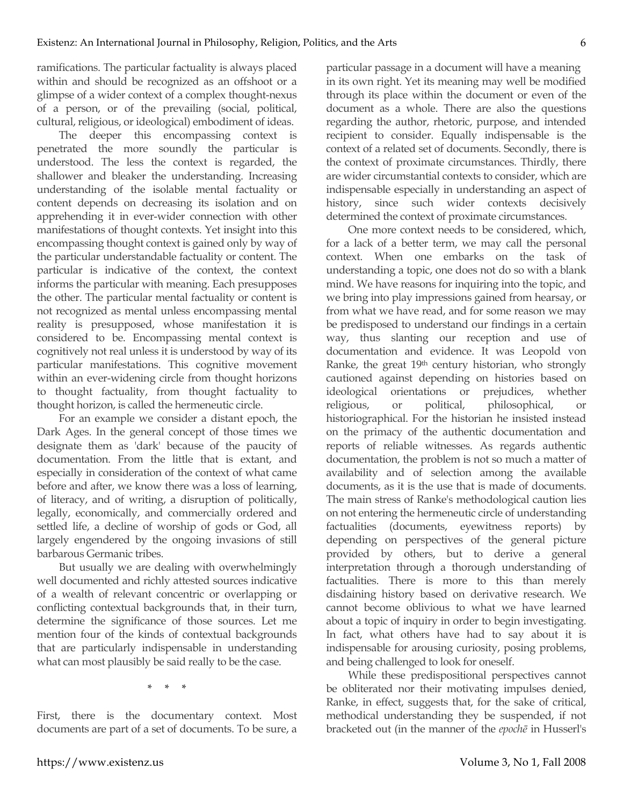ramifications. The particular factuality is always placed within and should be recognized as an offshoot or a glimpse of a wider context of a complex thought-nexus of a person, or of the prevailing (social, political, cultural, religious, or ideological) embodiment of ideas.

The deeper this encompassing context is penetrated the more soundly the particular is understood. The less the context is regarded, the shallower and bleaker the understanding. Increasing understanding of the isolable mental factuality or content depends on decreasing its isolation and on apprehending it in ever-wider connection with other manifestations of thought contexts. Yet insight into this encompassing thought context is gained only by way of the particular understandable factuality or content. The particular is indicative of the context, the context informs the particular with meaning. Each presupposes the other. The particular mental factuality or content is not recognized as mental unless encompassing mental reality is presupposed, whose manifestation it is considered to be. Encompassing mental context is cognitively not real unless it is understood by way of its particular manifestations. This cognitive movement within an ever-widening circle from thought horizons to thought factuality, from thought factuality to thought horizon, is called the hermeneutic circle.

For an example we consider a distant epoch, the Dark Ages. In the general concept of those times we designate them as 'dark' because of the paucity of documentation. From the little that is extant, and especially in consideration of the context of what came before and after, we know there was a loss of learning, of literacy, and of writing, a disruption of politically, legally, economically, and commercially ordered and settled life, a decline of worship of gods or God, all largely engendered by the ongoing invasions of still barbarous Germanic tribes.

But usually we are dealing with overwhelmingly well documented and richly attested sources indicative of a wealth of relevant concentric or overlapping or conflicting contextual backgrounds that, in their turn, determine the significance of those sources. Let me mention four of the kinds of contextual backgrounds that are particularly indispensable in understanding what can most plausibly be said really to be the case.

**\* \* \***

First, there is the documentary context. Most documents are part of a set of documents. To be sure, a

particular passage in a document will have a meaning in its own right. Yet its meaning may well be modified through its place within the document or even of the document as a whole. There are also the questions regarding the author, rhetoric, purpose, and intended recipient to consider. Equally indispensable is the context of a related set of documents. Secondly, there is the context of proximate circumstances. Thirdly, there are wider circumstantial contexts to consider, which are indispensable especially in understanding an aspect of history, since such wider contexts decisively determined the context of proximate circumstances.

One more context needs to be considered, which, for a lack of a better term, we may call the personal context. When one embarks on the task of understanding a topic, one does not do so with a blank mind. We have reasons for inquiring into the topic, and we bring into play impressions gained from hearsay, or from what we have read, and for some reason we may be predisposed to understand our findings in a certain way, thus slanting our reception and use of documentation and evidence. It was Leopold von Ranke, the great 19<sup>th</sup> century historian, who strongly cautioned against depending on histories based on ideological orientations or prejudices, whether religious, or political, philosophical, or historiographical. For the historian he insisted instead on the primacy of the authentic documentation and reports of reliable witnesses. As regards authentic documentation, the problem is not so much a matter of availability and of selection among the available documents, as it is the use that is made of documents. The main stress of Ranke's methodological caution lies on not entering the hermeneutic circle of understanding factualities (documents, eyewitness reports) by depending on perspectives of the general picture provided by others, but to derive a general interpretation through a thorough understanding of factualities. There is more to this than merely disdaining history based on derivative research. We cannot become oblivious to what we have learned about a topic of inquiry in order to begin investigating. In fact, what others have had to say about it is indispensable for arousing curiosity, posing problems, and being challenged to look for oneself.

While these predispositional perspectives cannot be obliterated nor their motivating impulses denied, Ranke, in effect, suggests that, for the sake of critical, methodical understanding they be suspended, if not bracketed out (in the manner of the *epochē* in Husserl's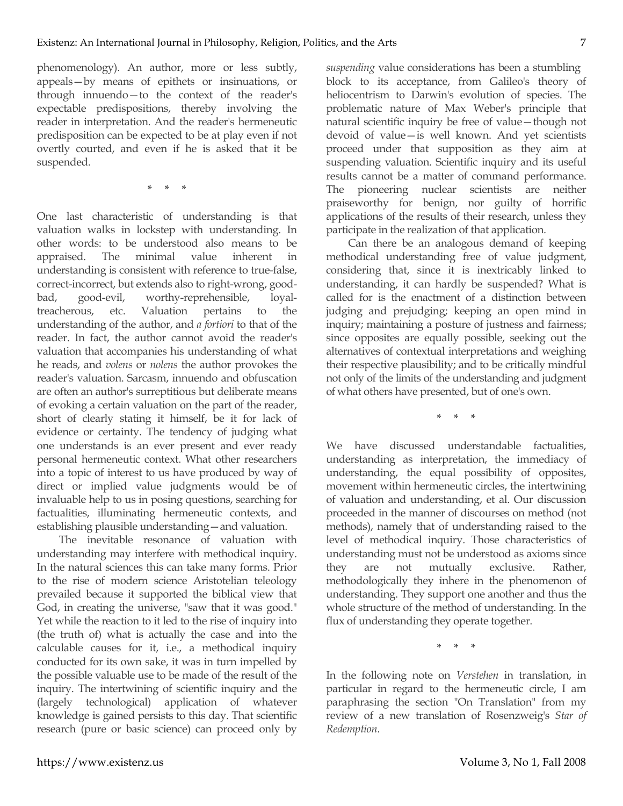phenomenology). An author, more or less subtly, appeals—by means of epithets or insinuations, or through innuendo—to the context of the reader's expectable predispositions, thereby involving the reader in interpretation. And the reader's hermeneutic predisposition can be expected to be at play even if not overtly courted, and even if he is asked that it be suspended.

**\* \* \***

One last characteristic of understanding is that valuation walks in lockstep with understanding. In other words: to be understood also means to be appraised. The minimal value inherent in understanding is consistent with reference to true-false, correct-incorrect, but extends also to right-wrong, goodbad, good-evil, worthy-reprehensible, loyaltreacherous, etc. Valuation pertains to the understanding of the author, and *a fortiori* to that of the reader. In fact, the author cannot avoid the reader's valuation that accompanies his understanding of what he reads, and *volens* or *nolens* the author provokes the reader's valuation. Sarcasm, innuendo and obfuscation are often an author's surreptitious but deliberate means of evoking a certain valuation on the part of the reader, short of clearly stating it himself, be it for lack of evidence or certainty. The tendency of judging what one understands is an ever present and ever ready personal hermeneutic context. What other researchers into a topic of interest to us have produced by way of direct or implied value judgments would be of invaluable help to us in posing questions, searching for factualities, illuminating hermeneutic contexts, and establishing plausible understanding—and valuation.

The inevitable resonance of valuation with understanding may interfere with methodical inquiry. In the natural sciences this can take many forms. Prior to the rise of modern science Aristotelian teleology prevailed because it supported the biblical view that God, in creating the universe, "saw that it was good." Yet while the reaction to it led to the rise of inquiry into (the truth of) what is actually the case and into the calculable causes for it, i.e., a methodical inquiry conducted for its own sake, it was in turn impelled by the possible valuable use to be made of the result of the inquiry. The intertwining of scientific inquiry and the (largely technological) application of whatever knowledge is gained persists to this day. That scientific research (pure or basic science) can proceed only by *suspending* value considerations has been a stumbling block to its acceptance, from Galileo's theory of heliocentrism to Darwin's evolution of species. The problematic nature of Max Weber's principle that natural scientific inquiry be free of value—though not devoid of value—is well known. And yet scientists proceed under that supposition as they aim at suspending valuation. Scientific inquiry and its useful results cannot be a matter of command performance. The pioneering nuclear scientists are neither praiseworthy for benign, nor guilty of horrific applications of the results of their research, unless they participate in the realization of that application.

Can there be an analogous demand of keeping methodical understanding free of value judgment, considering that, since it is inextricably linked to understanding, it can hardly be suspended? What is called for is the enactment of a distinction between judging and prejudging; keeping an open mind in inquiry; maintaining a posture of justness and fairness; since opposites are equally possible, seeking out the alternatives of contextual interpretations and weighing their respective plausibility; and to be critically mindful not only of the limits of the understanding and judgment of what others have presented, but of one's own.

**\* \* \***

We have discussed understandable factualities, understanding as interpretation, the immediacy of understanding, the equal possibility of opposites, movement within hermeneutic circles, the intertwining of valuation and understanding, et al. Our discussion proceeded in the manner of discourses on method (not methods), namely that of understanding raised to the level of methodical inquiry. Those characteristics of understanding must not be understood as axioms since they are not mutually exclusive. Rather, methodologically they inhere in the phenomenon of understanding. They support one another and thus the whole structure of the method of understanding. In the flux of understanding they operate together.

**\* \* \***

In the following note on *Verstehen* in translation, in particular in regard to the hermeneutic circle, I am paraphrasing the section "On Translation" from my review of a new translation of Rosenzweig's *Star of Redemption*.